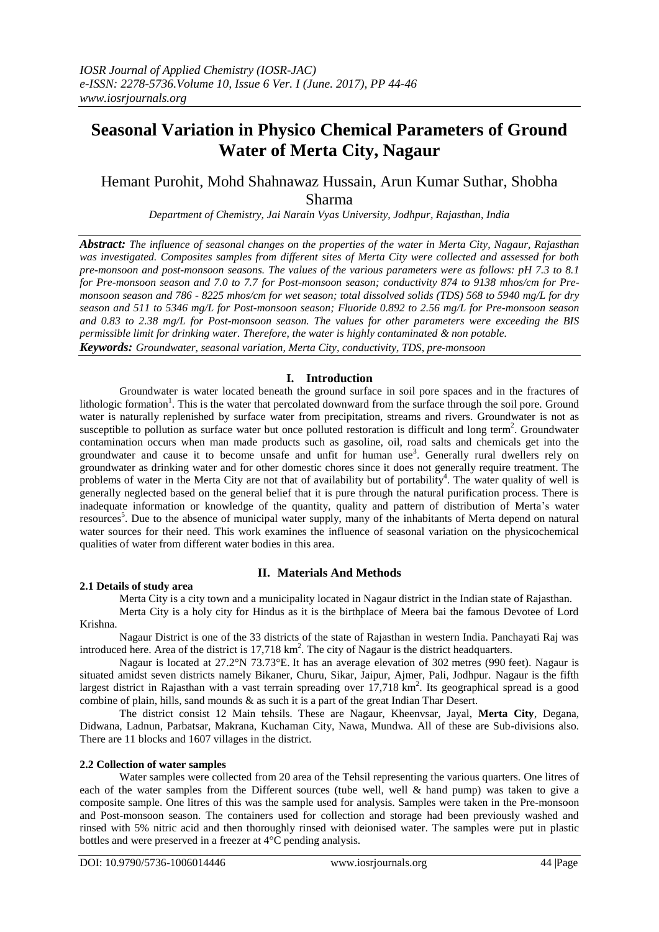# **Seasonal Variation in Physico Chemical Parameters of Ground Water of Merta City, Nagaur**

# Hemant Purohit, Mohd Shahnawaz Hussain, Arun Kumar Suthar, Shobha Sharma

*Department of Chemistry, Jai Narain Vyas University, Jodhpur, Rajasthan, India*

*Abstract: The influence of seasonal changes on the properties of the water in Merta City, Nagaur, Rajasthan was investigated. Composites samples from different sites of Merta City were collected and assessed for both pre-monsoon and post-monsoon seasons. The values of the various parameters were as follows: pH 7.3 to 8.1 for Pre-monsoon season and 7.0 to 7.7 for Post-monsoon season; conductivity 874 to 9138 mhos/cm for Premonsoon season and 786 - 8225 mhos/cm for wet season; total dissolved solids (TDS) 568 to 5940 mg/L for dry season and 511 to 5346 mg/L for Post-monsoon season; Fluoride 0.892 to 2.56 mg/L for Pre-monsoon season and 0.83 to 2.38 mg/L for Post-monsoon season. The values for other parameters were exceeding the BIS permissible limit for drinking water. Therefore, the water is highly contaminated & non potable. Keywords: Groundwater, seasonal variation, Merta City, conductivity, TDS, pre-monsoon*

# **I. Introduction**

Groundwater is water located beneath the ground surface in soil pore spaces and in the fractures of lithologic formation<sup>1</sup>. This is the water that percolated downward from the surface through the soil pore. Ground water is naturally replenished by surface water from precipitation, streams and rivers. Groundwater is not as susceptible to pollution as surface water but once polluted restoration is difficult and long term<sup>2</sup>. Groundwater contamination occurs when man made products such as gasoline, oil, road salts and chemicals get into the groundwater and cause it to become unsafe and unfit for human use<sup>3</sup>. Generally rural dwellers rely on groundwater as drinking water and for other domestic chores since it does not generally require treatment. The problems of water in the Merta City are not that of availability but of portability<sup>4</sup>. The water quality of well is generally neglected based on the general belief that it is pure through the natural purification process. There is inadequate information or knowledge of the quantity, quality and pattern of distribution of Merta's water resources<sup>5</sup>. Due to the absence of municipal water supply, many of the inhabitants of Merta depend on natural water sources for their need. This work examines the influence of seasonal variation on the physicochemical qualities of water from different water bodies in this area.

# **II. Materials And Methods**

### **2.1 Details of study area**

Merta City is a city town and a municipality located in Nagaur district in the Indian state of Rajasthan.

Merta City is a holy city for Hindus as it is the birthplace of Meera bai the famous Devotee of Lord Krishna.

Nagaur District is one of the 33 districts of the state of Rajasthan in western India. Panchayati Raj was introduced here. Area of the district is  $17,718 \text{ km}^2$ . The city of Nagaur is the district headquarters.

Nagaur is located at 27.2°N 73.73°E. It has an average elevation of 302 metres (990 feet). Nagaur is situated amidst seven districts namely Bikaner, Churu, Sikar, Jaipur, Ajmer, Pali, Jodhpur. Nagaur is the fifth largest district in Rajasthan with a vast terrain spreading over  $17,718$  km<sup>2</sup>. Its geographical spread is a good combine of plain, hills, sand mounds & as such it is a part of the great Indian Thar Desert.

The district consist 12 Main tehsils. These are Nagaur, Kheenvsar, Jayal, **Merta City**, Degana, Didwana, Ladnun, Parbatsar, Makrana, Kuchaman City, Nawa, Mundwa. All of these are Sub-divisions also. There are 11 blocks and 1607 villages in the district.

#### **2.2 Collection of water samples**

Water samples were collected from 20 area of the Tehsil representing the various quarters. One litres of each of the water samples from the Different sources (tube well, well & hand pump) was taken to give a composite sample. One litres of this was the sample used for analysis. Samples were taken in the Pre-monsoon and Post-monsoon season. The containers used for collection and storage had been previously washed and rinsed with 5% nitric acid and then thoroughly rinsed with deionised water. The samples were put in plastic bottles and were preserved in a freezer at 4°C pending analysis.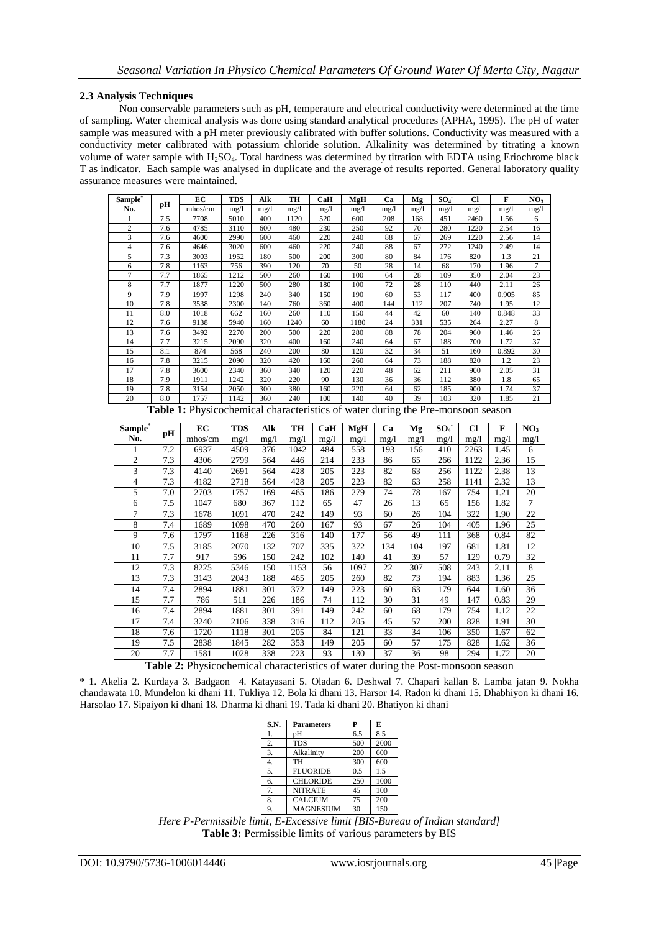#### **2.3 Analysis Techniques**

Non conservable parameters such as pH, temperature and electrical conductivity were determined at the time of sampling. Water chemical analysis was done using standard analytical procedures (APHA, 1995). The pH of water sample was measured with a pH meter previously calibrated with buffer solutions. Conductivity was measured with a conductivity meter calibrated with potassium chloride solution. Alkalinity was determined by titrating a known volume of water sample with  $H_2SO_4$ . Total hardness was determined by titration with EDTA using Eriochrome black T as indicator. Each sample was analysed in duplicate and the average of results reported. General laboratory quality assurance measures were maintained.

| Sample <sup>®</sup> | pН  | EC      | <b>TDS</b> | Alk  | TH   | CaH  | MgH  | Ca   | Mg   | SO <sub>4</sub> | Cl   | F     | NO <sub>3</sub> |
|---------------------|-----|---------|------------|------|------|------|------|------|------|-----------------|------|-------|-----------------|
| No.                 |     | mhos/cm | mg/1       | mg/l | mg/1 | mg/1 | mg/1 | mg/1 | mg/1 | mg/1            | mg/1 | mg/1  | mg/l            |
|                     | 7.5 | 7708    | 5010       | 400  | 1120 | 520  | 600  | 208  | 168  | 451             | 2460 | 1.56  | 6               |
| $\overline{c}$      | 7.6 | 4785    | 3110       | 600  | 480  | 230  | 250  | 92   | 70   | 280             | 1220 | 2.54  | 16              |
| 3                   | 7.6 | 4600    | 2990       | 600  | 460  | 220  | 240  | 88   | 67   | 269             | 1220 | 2.56  | 14              |
| 4                   | 7.6 | 4646    | 3020       | 600  | 460  | 220  | 240  | 88   | 67   | 272             | 1240 | 2.49  | 14              |
| 5                   | 7.3 | 3003    | 1952       | 180  | 500  | 200  | 300  | 80   | 84   | 176             | 820  | 1.3   | 21              |
| 6                   | 7.8 | 1163    | 756        | 390  | 120  | 70   | 50   | 28   | 14   | 68              | 170  | 1.96  | 7               |
| 7                   | 7.7 | 1865    | 1212       | 500  | 260  | 160  | 100  | 64   | 28   | 109             | 350  | 2.04  | 23              |
| 8                   | 7.7 | 1877    | 1220       | 500  | 280  | 180  | 100  | 72   | 28   | 110             | 440  | 2.11  | 26              |
| 9                   | 7.9 | 1997    | 1298       | 240  | 340  | 150  | 190  | 60   | 53   | 117             | 400  | 0.905 | 85              |
| 10                  | 7.8 | 3538    | 2300       | 140  | 760  | 360  | 400  | 144  | 112  | 207             | 740  | 1.95  | 12              |
| 11                  | 8.0 | 1018    | 662        | 160  | 260  | 110  | 150  | 44   | 42   | 60              | 140  | 0.848 | 33              |
| 12                  | 7.6 | 9138    | 5940       | 160  | 1240 | 60   | 1180 | 24   | 331  | 535             | 264  | 2.27  | 8               |
| 13                  | 7.6 | 3492    | 2270       | 200  | 500  | 220  | 280  | 88   | 78   | 204             | 960  | 1.46  | 26              |
| 14                  | 7.7 | 3215    | 2090       | 320  | 400  | 160  | 240  | 64   | 67   | 188             | 700  | 1.72  | 37              |
| 15                  | 8.1 | 874     | 568        | 240  | 200  | 80   | 120  | 32   | 34   | 51              | 160  | 0.892 | 30              |
| 16                  | 7.8 | 3215    | 2090       | 320  | 420  | 160  | 260  | 64   | 73   | 188             | 820  | 1.2   | 23              |
| 17                  | 7.8 | 3600    | 2340       | 360  | 340  | 120  | 220  | 48   | 62   | 211             | 900  | 2.05  | 31              |
| 18                  | 7.9 | 1911    | 1242       | 320  | 220  | 90   | 130  | 36   | 36   | 112             | 380  | 1.8   | 65              |
| 19                  | 7.8 | 3154    | 2050       | 300  | 380  | 160  | 220  | 64   | 62   | 185             | 900  | 1.74  | 37              |
| 20                  | 8.0 | 1757    | 1142       | 360  | 240  | 100  | 140  | 40   | 39   | 103             | 320  | 1.85  | 21              |

**Table 1:** Physicochemical characteristics of water during the Pre-monsoon season

| Sample <sup>*</sup> | pH  | EC      | <b>TDS</b> | Alk  | TH   | CaH  | MgH  | Ca   | Mg   | SO <sub>4</sub> | Cl   | F    | NO <sub>3</sub> |
|---------------------|-----|---------|------------|------|------|------|------|------|------|-----------------|------|------|-----------------|
| No.                 |     | mhos/cm | mg/1       | mg/1 | mg/1 | mg/1 | mg/1 | mg/1 | mg/1 | mg/1            | mg/1 | mg/1 | mg/1            |
|                     | 7.2 | 6937    | 4509       | 376  | 1042 | 484  | 558  | 193  | 156  | 410             | 2263 | 1.45 | 6               |
| 2                   | 7.3 | 4306    | 2799       | 564  | 446  | 214  | 233  | 86   | 65   | 266             | 1122 | 2.36 | 15              |
| 3                   | 7.3 | 4140    | 2691       | 564  | 428  | 205  | 223  | 82   | 63   | 256             | 1122 | 2.38 | 13              |
| 4                   | 7.3 | 4182    | 2718       | 564  | 428  | 205  | 223  | 82   | 63   | 258             | 1141 | 2.32 | 13              |
| 5                   | 7.0 | 2703    | 1757       | 169  | 465  | 186  | 279  | 74   | 78   | 167             | 754  | 1.21 | 20              |
| 6                   | 7.5 | 1047    | 680        | 367  | 112  | 65   | 47   | 26   | 13   | 65              | 156  | 1.82 | 7               |
| 7                   | 7.3 | 1678    | 1091       | 470  | 242  | 149  | 93   | 60   | 26   | 104             | 322  | 1.90 | 22              |
| 8                   | 7.4 | 1689    | 1098       | 470  | 260  | 167  | 93   | 67   | 26   | 104             | 405  | 1.96 | 25              |
| 9                   | 7.6 | 1797    | 1168       | 226  | 316  | 140  | 177  | 56   | 49   | 111             | 368  | 0.84 | 82              |
| 10                  | 7.5 | 3185    | 2070       | 132  | 707  | 335  | 372  | 134  | 104  | 197             | 681  | 1.81 | 12              |
| 11                  | 7.7 | 917     | 596        | 150  | 242  | 102  | 140  | 41   | 39   | 57              | 129  | 0.79 | 32              |
| 12                  | 7.3 | 8225    | 5346       | 150  | 1153 | 56   | 1097 | 22   | 307  | 508             | 243  | 2.11 | 8               |
| 13                  | 7.3 | 3143    | 2043       | 188  | 465  | 205  | 260  | 82   | 73   | 194             | 883  | 1.36 | 25              |
| 14                  | 7.4 | 2894    | 1881       | 301  | 372  | 149  | 223  | 60   | 63   | 179             | 644  | 1.60 | 36              |
| 15                  | 7.7 | 786     | 511        | 226  | 186  | 74   | 112  | 30   | 31   | 49              | 147  | 0.83 | 29              |
| 16                  | 7.4 | 2894    | 1881       | 301  | 391  | 149  | 242  | 60   | 68   | 179             | 754  | 1.12 | 22              |
| 17                  | 7.4 | 3240    | 2106       | 338  | 316  | 112  | 205  | 45   | 57   | 200             | 828  | 1.91 | 30              |
| 18                  | 7.6 | 1720    | 1118       | 301  | 205  | 84   | 121  | 33   | 34   | 106             | 350  | 1.67 | 62              |
| 19                  | 7.5 | 2838    | 1845       | 282  | 353  | 149  | 205  | 60   | 57   | 175             | 828  | 1.62 | 36              |
| 20                  | 7.7 | 1581    | 1028       | 338  | 223  | 93   | 130  | 37   | 36   | 98              | 294  | 1.72 | 20              |

**Table 2:** Physicochemical characteristics of water during the Post-monsoon season

\* 1. Akelia 2. Kurdaya 3. Badgaon 4. Katayasani 5. Oladan 6. Deshwal 7. Chapari kallan 8. Lamba jatan 9. Nokha chandawata 10. Mundelon ki dhani 11. Tukliya 12. Bola ki dhani 13. Harsor 14. Radon ki dhani 15. Dhabhiyon ki dhani 16. Harsolao 17. Sipaiyon ki dhani 18. Dharma ki dhani 19. Tada ki dhani 20. Bhatiyon ki dhani

| S.N.             | <b>Parameters</b> | P   | E    |
|------------------|-------------------|-----|------|
| 1.               | pH                | 6.5 | 8.5  |
| 2.               | <b>TDS</b>        | 500 | 2000 |
| 3.               | Alkalinity        | 200 | 600  |
| $\overline{4}$ . | TH                | 300 | 600  |
| 5.               | <b>FLUORIDE</b>   | 0.5 | 1.5  |
| 6.               | <b>CHLORIDE</b>   | 250 | 1000 |
| 7.               | <b>NITRATE</b>    | 45  | 100  |
| 8.               | <b>CALCIUM</b>    | 75  | 200  |
| 9.               | <b>MAGNESIUM</b>  | 30  | 150  |

*Here P-Permissible limit, E-Excessive limit [BIS-Bureau of Indian standard]* Table 3: Permissible limits of various parameters by BIS